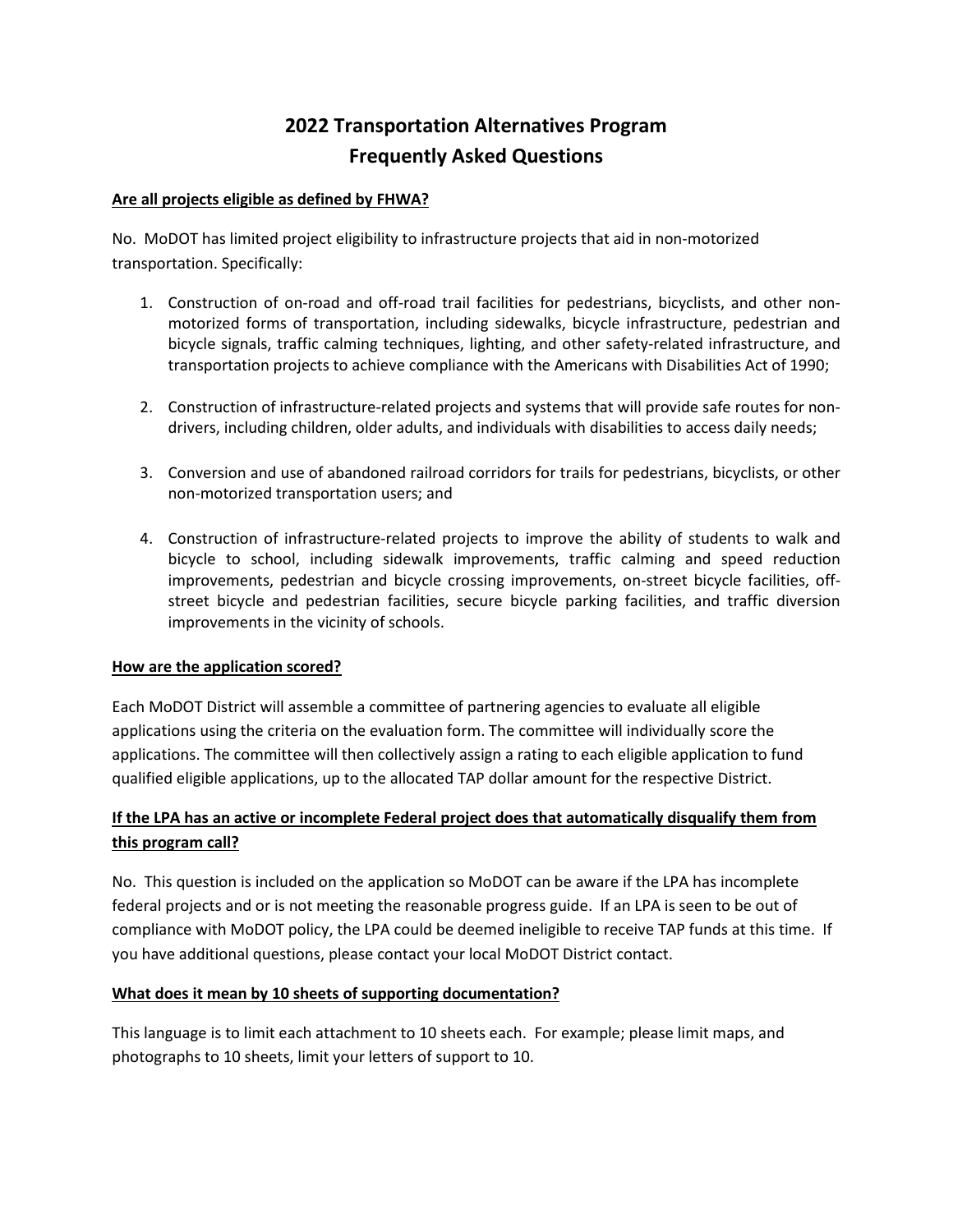# **2022 Transportation Alternatives Program Frequently Asked Questions**

## **Are all projects eligible as defined by FHWA?**

No. MoDOT has limited project eligibility to infrastructure projects that aid in non-motorized transportation. Specifically:

- 1. Construction of on-road and off-road trail facilities for pedestrians, bicyclists, and other nonmotorized forms of transportation, including sidewalks, bicycle infrastructure, pedestrian and bicycle signals, traffic calming techniques, lighting, and other safety-related infrastructure, and transportation projects to achieve compliance with the Americans with Disabilities Act of 1990;
- 2. Construction of infrastructure-related projects and systems that will provide safe routes for nondrivers, including children, older adults, and individuals with disabilities to access daily needs;
- 3. Conversion and use of abandoned railroad corridors for trails for pedestrians, bicyclists, or other non-motorized transportation users; and
- 4. Construction of infrastructure-related projects to improve the ability of students to walk and bicycle to school, including sidewalk improvements, traffic calming and speed reduction improvements, pedestrian and bicycle crossing improvements, on-street bicycle facilities, offstreet bicycle and pedestrian facilities, secure bicycle parking facilities, and traffic diversion improvements in the vicinity of schools.

#### **How are the application scored?**

Each MoDOT District will assemble a committee of partnering agencies to evaluate all eligible applications using the criteria on the evaluation form. The committee will individually score the applications. The committee will then collectively assign a rating to each eligible application to fund qualified eligible applications, up to the allocated TAP dollar amount for the respective District.

# **If the LPA has an active or incomplete Federal project does that automatically disqualify them from this program call?**

No. This question is included on the application so MoDOT can be aware if the LPA has incomplete federal projects and or is not meeting the reasonable progress guide. If an LPA is seen to be out of compliance with MoDOT policy, the LPA could be deemed ineligible to receive TAP funds at this time. If you have additional questions, please contact your local MoDOT District contact.

#### **What does it mean by 10 sheets of supporting documentation?**

This language is to limit each attachment to 10 sheets each. For example; please limit maps, and photographs to 10 sheets, limit your letters of support to 10.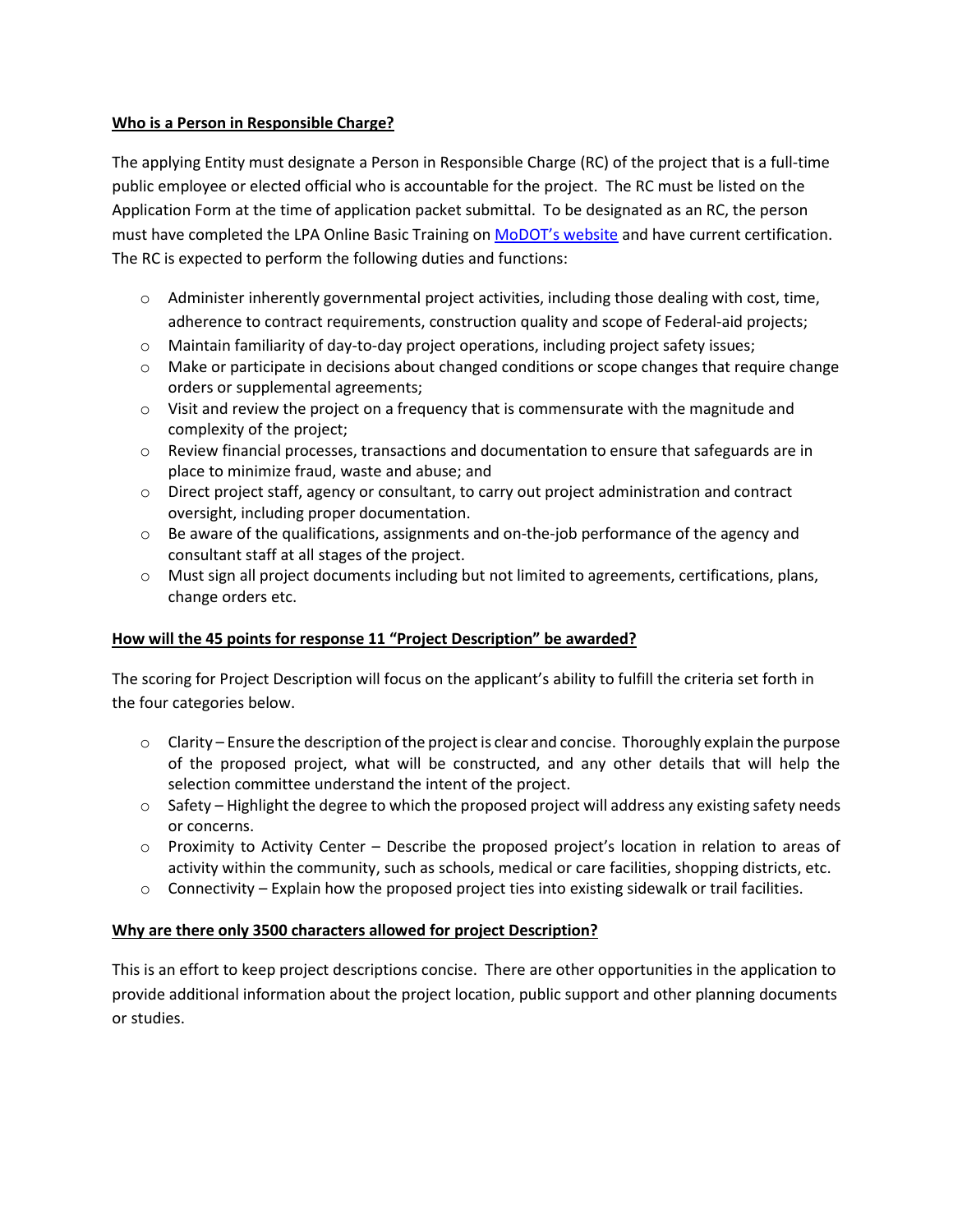# **Who is a Person in Responsible Charge?**

The applying Entity must designate a Person in Responsible Charge (RC) of the project that is a full-time public employee or elected official who is accountable for the project. The RC must be listed on the Application Form at the time of application packet submittal. To be designated as an RC, the person must have completed the LPA Online Basic Training on [MoDOT's website](http://contribute.modot.mo.gov/business/lpa/cert_train.htm) and have current certification. The RC is expected to perform the following duties and functions:

- o Administer inherently governmental project activities, including those dealing with cost, time, adherence to contract requirements, construction quality and scope of Federal-aid projects;
- o Maintain familiarity of day-to-day project operations, including project safety issues;
- o Make or participate in decisions about changed conditions or scope changes that require change orders or supplemental agreements;
- $\circ$  Visit and review the project on a frequency that is commensurate with the magnitude and complexity of the project;
- o Review financial processes, transactions and documentation to ensure that safeguards are in place to minimize fraud, waste and abuse; and
- o Direct project staff, agency or consultant, to carry out project administration and contract oversight, including proper documentation.
- $\circ$  Be aware of the qualifications, assignments and on-the-job performance of the agency and consultant staff at all stages of the project.
- o Must sign all project documents including but not limited to agreements, certifications, plans, change orders etc.

# **How will the 45 points for response 11 "Project Description" be awarded?**

The scoring for Project Description will focus on the applicant's ability to fulfill the criteria set forth in the four categories below.

- $\circ$  Clarity Ensure the description of the project is clear and concise. Thoroughly explain the purpose of the proposed project, what will be constructed, and any other details that will help the selection committee understand the intent of the project.
- $\circ$  Safety Highlight the degree to which the proposed project will address any existing safety needs or concerns.
- o Proximity to Activity Center Describe the proposed project's location in relation to areas of activity within the community, such as schools, medical or care facilities, shopping districts, etc.
- $\circ$  Connectivity Explain how the proposed project ties into existing sidewalk or trail facilities.

# **Why are there only 3500 characters allowed for project Description?**

This is an effort to keep project descriptions concise. There are other opportunities in the application to provide additional information about the project location, public support and other planning documents or studies.